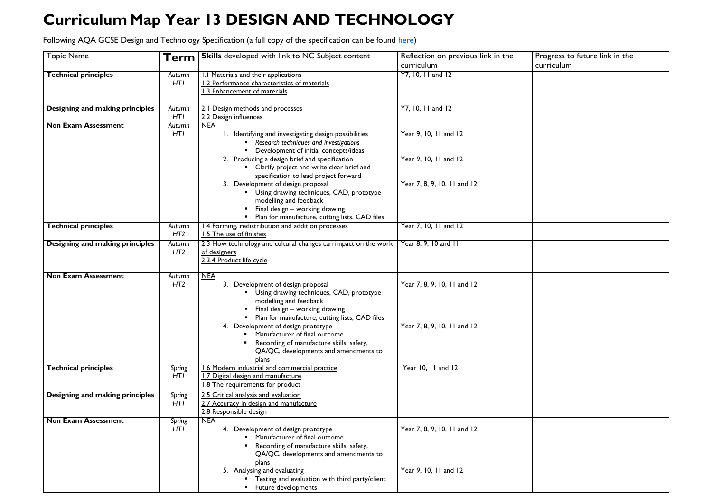## **CurriculumMap Year 13 DESIGN AND TECHNOLOGY**

Following AQA GCSE Design and Technology Specification (a full copy of the specification can be found [here\)](https://www.aqa.org.uk/subjects/design-and-technology/as-and-a-level/design-and-technology-product-design-7552/specification-at-a-glance)

## Progress to future link in the curriculum

| <b>Topic Name</b>                      | Term            | <b>Skills</b> developed with link to NC Subject content                          | Reflection on previous link in the |  |
|----------------------------------------|-----------------|----------------------------------------------------------------------------------|------------------------------------|--|
|                                        |                 |                                                                                  | curriculum                         |  |
| <b>Technical principles</b>            | Autumn          | <b>1.1 Materials and their applications</b>                                      | Y7, 10, 11 and 12                  |  |
|                                        | <b>HTI</b>      | 1.2 Performance characteristics of materials                                     |                                    |  |
|                                        |                 | 1.3 Enhancement of materials                                                     |                                    |  |
| Designing and making principles        | Autumn          | 2.1 Design methods and processes                                                 | Y7, 10, 11 and 12                  |  |
|                                        | HT <sub>I</sub> | 2.2 Design influences                                                            |                                    |  |
| <b>Non Exam Assessment</b>             | Autumn          | <b>NEA</b>                                                                       |                                    |  |
| HT <sub>I</sub>                        |                 | 1. Identifying and investigating design possibilities                            | Year 9, 10, 11 and 12              |  |
|                                        |                 | Research techniques and investigations                                           |                                    |  |
|                                        |                 | Development of initial concepts/ideas                                            |                                    |  |
|                                        |                 | 2. Producing a design brief and specification                                    | Year 9, 10, 11 and 12              |  |
|                                        |                 | Clarify project and write clear brief and                                        |                                    |  |
|                                        |                 | specification to lead project forward                                            |                                    |  |
|                                        |                 | 3. Development of design proposal                                                | Year 7, 8, 9, 10, 11 and 12        |  |
|                                        |                 | Using drawing techniques, CAD, prototype                                         |                                    |  |
|                                        |                 | modelling and feedback                                                           |                                    |  |
|                                        |                 | Final design - working drawing<br>Plan for manufacture, cutting lists, CAD files |                                    |  |
| <b>Technical principles</b>            | Autumn          | 1.4 Forming, redistribution and addition processes                               | Year 7, 10, 11 and 12              |  |
|                                        | HT <sub>2</sub> | 1.5 The use of finishes                                                          |                                    |  |
| <b>Designing and making principles</b> | Autumn          | 2.3 How technology and cultural changes can impact on the work                   | $\overline{Year}$ 8, 9, 10 and 11  |  |
|                                        | HT <sub>2</sub> | of designers                                                                     |                                    |  |
|                                        |                 | 2.3.4 Product life cycle                                                         |                                    |  |
|                                        |                 |                                                                                  |                                    |  |
| <b>Non Exam Assessment</b>             | Autumn          | NEA                                                                              |                                    |  |
|                                        | HT <sub>2</sub> | 3. Development of design proposal                                                | Year 7, 8, 9, 10, 11 and 12        |  |
|                                        |                 | Using drawing techniques, CAD, prototype                                         |                                    |  |
|                                        |                 | modelling and feedback                                                           |                                    |  |
|                                        |                 | Final design - working drawing<br>Plan for manufacture, cutting lists, CAD files |                                    |  |
|                                        |                 | 4. Development of design prototype                                               | Year 7, 8, 9, 10, 11 and 12        |  |
|                                        |                 | Manufacturer of final outcome                                                    |                                    |  |
|                                        |                 | Recording of manufacture skills, safety,                                         |                                    |  |
|                                        |                 | QA/QC, developments and amendments to                                            |                                    |  |
|                                        |                 | plans                                                                            |                                    |  |
| <b>Technical principles</b>            | Spring          | 1.6 Modern industrial and commercial practice                                    | Year 10, 11 and 12                 |  |
|                                        | HTI             | 1.7 Digital design and manufacture                                               |                                    |  |
|                                        |                 | 1.8 The requirements for product                                                 |                                    |  |
| Designing and making principles        | <b>Spring</b>   | 2.5 Critical analysis and evaluation                                             |                                    |  |
|                                        | HTI             | 2.7 Accuracy in design and manufacture                                           |                                    |  |
|                                        |                 | 2.8 Responsible design                                                           |                                    |  |
| <b>Non Exam Assessment</b>             | <b>Spring</b>   | <b>NEA</b>                                                                       |                                    |  |
|                                        | HTI             | 4. Development of design prototype<br>Manufacturer of final outcome              | Year 7, 8, 9, 10, 11 and 12        |  |
|                                        |                 | Recording of manufacture skills, safety,                                         |                                    |  |
|                                        |                 | QA/QC, developments and amendments to                                            |                                    |  |
|                                        |                 | plans                                                                            |                                    |  |
|                                        |                 | 5. Analysing and evaluating                                                      | Year 9, 10, 11 and 12              |  |
|                                        |                 | Testing and evaluation with third party/client                                   |                                    |  |
|                                        |                 | Future developments                                                              |                                    |  |